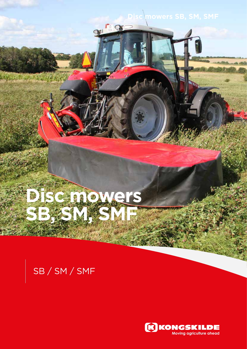# Disc mowers SB, SM, SMF

# **Disc mowers SB, SMF, SMF, SMF**

## SB / SM / SMF

an Langua Chine

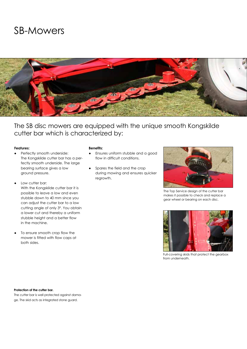### SB-Mowers



The SB disc mowers are equipped with the unique smooth Kongskilde cutter bar which is characterized by:

### **Features:**

- Perfectly smooth underside: The Kongskilde cutter bar has a perfectly smooth underside. The large bearing surface gives a low ground pressure.
- Low cutter bar: With the Kongskilde cutter bar it is possible to leave a low and even stubble down to 40 mm since you can adjust the cutter bar to a low cutting angle of only 3º. You obtain a lower cut and thereby a uniform stubble height and a better flow in the machine.
- To ensure smooth crop flow the mower is fitted with flow caps at both sides.

### **Benefits:**

- Ensures uniform stubble and a good flow in difficult conditions.
- Spares the field and the crop during mowing and ensures quicker regrowth.



The Top Service design of the cutter bar makes it possible to check and replace a gear wheel or bearing on each disc.



Full-covering skids that protect the gearbox from underneath.

#### Protection of the cutter bar.

The cutter bar is well protected against damage. The skid acts as integrated stone guard.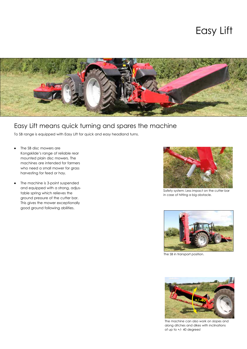### Easy Lift



### Easy Lift means quick turning and spares the machine

To SB range is equipped with Easy Lift for quick and easy headland turns.

- The SB disc mowers are Kongskilde's range of reliable rear mounted plain disc mowers. The machines are intended for farmers who need a small mower for grass harvesting for feed or hay.
- The machine is 3-point suspended and equipped with a strong, adjustable spring which relieves the ground pressure of the cutter bar. This gives the mower exceptionally good ground following abilities.



Safety system: Less impact on the cutter bar in case of hitting a big obstacle.



The SB in transport position.



The machine can also work on slopes and along ditches and dikes with inclinations of up to +/- 40 degrees!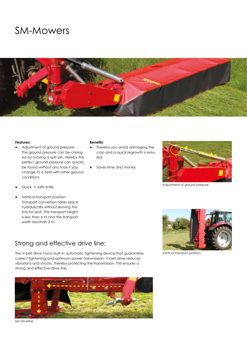### SM-Mowers



#### **Features:**

- ● Adjustment of ground pressure: The ground pressure can be changed by moving a split pin. Hereby the perfect ground pressure can quickly be found without any tools if you change to a field with other ground conditions.
- Quick 'n safe knife.
- Vertical transport position: Transport conversion takes place hydraulically without leaving the tractor seat. The transport height is less than 4 m and the transport width less than 3 m.

#### **Benefits:**

- ● Thereby you avoid damaging the crop and a quick regrowth is ensured.
- Saves time and money



Adjustment of ground pressure

### Strong and effective drive line:

The V-belt drive has a built-in automatic tightening device that guarantees Vertical transport position correct tightening and optimum power transmission. V-belt drive reduces vibrations and shocks, thereby protecting the transmission. This ensures a strong and effective drive line.



SM Driveline

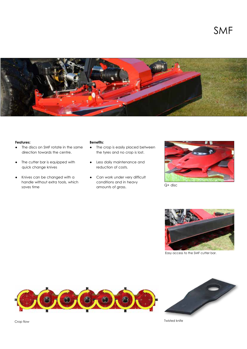

#### **Features:**

- The discs on SMF rotate in the same direction towards the centre.
- The cutter bar is equipped with quick change knives
- Knives can be changed with a handle without extra tools, which saves time

#### **Benefits:**

- ● The crop is easily placed between the tyres and no crop is lost.
- Less daily maintenance and reduction of costs.
- Can work under very difficult conditions and in heavy amounts of grass.



Q+ disc



Easy access to the SMF cutter bar.





Twisted knife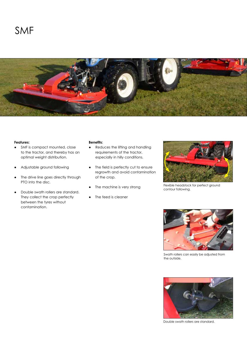

### **Features:**

- SMF is compact mounted, close to the tractor, and thereby has an optimal weight distribution.
- Adjustable ground following
- The drive line goes directly through PTO into the disc.
- Double swath rollers are standard. They collect the crop perfectly between the tyres without contamination.

#### **Benefits:**

- ● Reduces the lifting and handling requirements of the tractor, especially in hilly conditions.
- The field is perfectly cut to ensure regrowth and avoid contamination of the crop.
- The machine is very strong
- The feed is cleaner



Flexible headstock for perfect ground contour following.



Swath rollers can easily be adjusted from the outside.



Double swath rollers are standard.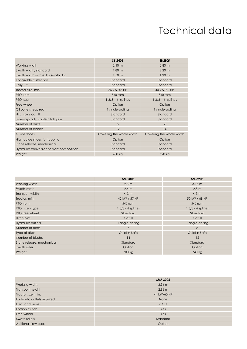### Technical data

|                                            | SB 2405                  | SB 2805                  |
|--------------------------------------------|--------------------------|--------------------------|
| Working width                              | 2.40 <sub>m</sub>        | 2.80 <sub>m</sub>        |
| Swath width, standard                      | 1.80 <sub>m</sub>        | 2.20 <sub>m</sub>        |
| Swath width with extra swath disc          | 1.50 <sub>m</sub>        | 1.90 <sub>m</sub>        |
| Kongskilde cutter bar                      | Standard                 | Standard                 |
| Easy Lift                                  | Standard                 | Standard                 |
| Tractor size, min.                         | 35 kW/48 HP              | 40 kW/56 HP              |
| PTO, rpm                                   | 540 rpm                  | 540 rpm                  |
| PTO, size                                  | $13/8 - 6$ splines       | $13/8 - 6$ splines       |
| Free wheel                                 | Option                   | Option                   |
| Oil outlets required                       | 1 single-acting          | 1 single-acting          |
| Hitch pins cat. II                         | Standard                 | Standard                 |
| Sideways adjustable hitch pins             | Standard                 | Standard                 |
| Number of discs                            | 6                        | 7                        |
| Number of blades                           | 12                       | 14                       |
| Guide shoes                                | Covering the whole width | Covering the whole width |
| High guide shoes for topping               | Option                   | Option                   |
| Stone release, mechanical                  | Standard                 | Standard                 |
| Hydraulic conversion to transport position | Standard                 | Standard                 |
| Weight                                     | 480 kg                   | 520 kg                   |

|                           | SM 2805           | SM 3205            |
|---------------------------|-------------------|--------------------|
| Working width             | 2.8 <sub>m</sub>  | 3.15 m             |
| Swath width               | 2.4 m             | 2.8 <sub>m</sub>   |
| Transport width           | $<$ 3 m           | $<$ 3 m            |
| Tractor, min.             | 42 kW / 57 HP     | 50 kW / 68 HP      |
| PTO, rpm                  | 540 rpm           | 540 rpm            |
| PTO, size - type          | 1 3/8 - 6 splines | $13/8 - 6$ splines |
| PTO free wheel            | Standard          | Standard           |
| Hitch pins                | Cat. II           | Cat. II            |
| Hydraulic outlets         | 1 single-acting   | single-acting      |
| Number of discs           | 7                 | 8                  |
| Type of discs             | Quick'n Safe      | Quick'n Safe       |
| Number of blades          | 14                | 16                 |
| Stone release, mechanical | Standard          | Standard           |
| Swath roller              | Option            | Option             |
| Weight                    | 700 kg            | 740 kg             |

|                            | <b>SMF 3005</b> |
|----------------------------|-----------------|
| Working width              | 2.96 m          |
| Transport height           | $2.86$ m        |
| Tractor size, min.         | 44 kW/60 HP     |
| Hydraulic outlets required | None            |
| Discs and knives           | 7/14            |
| Friction clutch            | Yes             |
| Free wheel                 | Yes             |
| Swath rollers              | Standard        |
| Aditional flow caps        | Option          |